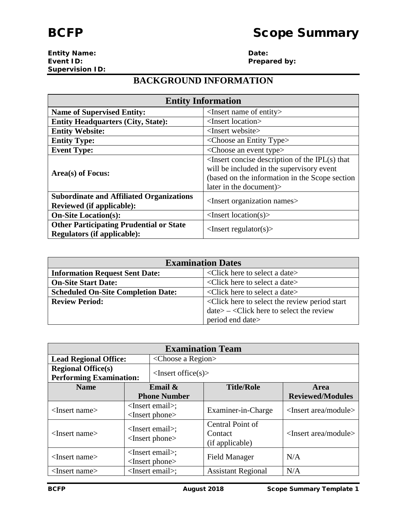**Entity Name: Date: Supervision ID:**

**Prepared by:** 

## **BACKGROUND INFORMATION**

| <b>Entity Information</b>                                                            |                                                                                                                                                                                  |  |
|--------------------------------------------------------------------------------------|----------------------------------------------------------------------------------------------------------------------------------------------------------------------------------|--|
| <b>Name of Supervised Entity:</b>                                                    | $\leq$ Insert name of entity $>$                                                                                                                                                 |  |
| <b>Entity Headquarters (City, State):</b>                                            | <insert location=""></insert>                                                                                                                                                    |  |
| <b>Entity Website:</b>                                                               | $\langle$ Insert website $\rangle$                                                                                                                                               |  |
| <b>Entity Type:</b>                                                                  | $\langle$ Choose an Entity Type $\rangle$                                                                                                                                        |  |
| <b>Event Type:</b>                                                                   | <choose an="" event="" type=""></choose>                                                                                                                                         |  |
| Area(s) of Focus:                                                                    | $\leq$ Insert concise description of the IPL $(s)$ that<br>will be included in the supervisory event<br>(based on the information in the Scope section<br>later in the document) |  |
| <b>Subordinate and Affiliated Organizations</b><br><b>Reviewed (if applicable):</b>  | <insert names="" organization=""></insert>                                                                                                                                       |  |
| <b>On-Site Location(s):</b>                                                          | $\langle$ Insert location(s) $>$                                                                                                                                                 |  |
| <b>Other Participating Prudential or State</b><br><b>Regulators (if applicable):</b> | $\langle$ Insert regulator(s) $>$                                                                                                                                                |  |

| <b>Examination Dates</b>                                                                            |  |  |
|-----------------------------------------------------------------------------------------------------|--|--|
| <click a="" date="" here="" select="" to=""><br/><b>Information Request Sent Date:</b></click>      |  |  |
| <b>On-Site Start Date:</b><br><click a="" date="" here="" select="" to=""></click>                  |  |  |
| <b>Scheduled On-Site Completion Date:</b><br>$\leq$ Click here to select a date $\geq$              |  |  |
| <click here="" period="" review="" select="" start<br="" the="" to=""><b>Review Period:</b></click> |  |  |
| $date> - <$ Click here to select the review                                                         |  |  |
| period end date>                                                                                    |  |  |

| <b>Examination Team</b>                                     |  |                                            |                                                |                                        |
|-------------------------------------------------------------|--|--------------------------------------------|------------------------------------------------|----------------------------------------|
| <b>Lead Regional Office:</b>                                |  | $\langle$ Choose a Region $\rangle$        |                                                |                                        |
| <b>Regional Office(s)</b><br><b>Performing Examination:</b> |  | $\langle$ Insert office $(s)$              |                                                |                                        |
| <b>Name</b>                                                 |  | Email $\&$                                 | <b>Title/Role</b>                              | Area                                   |
|                                                             |  | <b>Phone Number</b>                        |                                                | <b>Reviewed/Modules</b>                |
| $<$ Insert name $>$                                         |  | $<$ Insert email>;<br>$<$ Insert phone $>$ | Examiner-in-Charge                             | <insert area="" module=""></insert>    |
| <insert name=""></insert>                                   |  | $<$ Insert email>;<br>$<$ Insert phone $>$ | Central Point of<br>Contact<br>(if applicable) | $\langle$ Insert area/module $\rangle$ |
| <insert name=""></insert>                                   |  | $<$ Insert email>;<br>$<$ Insert phone $>$ | <b>Field Manager</b>                           | N/A                                    |
| $<$ Insert name $>$                                         |  | $<$ Insert email>;                         | <b>Assistant Regional</b>                      | N/A                                    |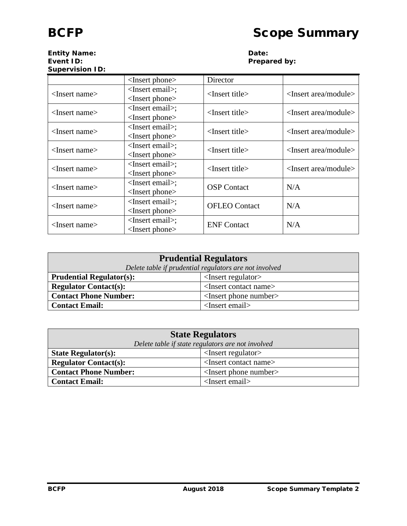## **Entity Name: Date: Supervision ID:**

# **Prepared by:**

|                                 | <insert phone=""></insert>                 | Director                   |                                        |
|---------------------------------|--------------------------------------------|----------------------------|----------------------------------------|
| $\langle$ Insert name $\rangle$ | $<$ Insert email>;<br>$<$ Insert phone $>$ | $<$ Insert title $>$       | $\langle$ Insert area/module $\rangle$ |
| <insert name=""></insert>       | $<$ Insert email>;<br>$<$ Insert phone $>$ | $<$ Insert title $>$       | <insert area="" module=""></insert>    |
| $\langle$ Insert name $\rangle$ | $<$ Insert email>;<br>$<$ Insert phone $>$ | <insert title=""></insert> | $\langle$ Insert area/module $\rangle$ |
| <insert name=""></insert>       | $<$ Insert email>;<br>$<$ Insert phone $>$ | $<$ Insert title $>$       | <insert area="" module=""></insert>    |
| $<$ Insert name $>$             | $<$ Insert email>;<br>$<$ Insert phone $>$ | $<$ Insert title $>$       | <insert area="" module=""></insert>    |
| $<$ Insert name $>$             | $<$ Insert email>;<br>$<$ Insert phone $>$ | <b>OSP</b> Contact         | N/A                                    |
| $\langle$ Insert name $\rangle$ | $<$ Insert email>;<br>$<$ Insert phone $>$ | <b>OFLEO</b> Contact       | N/A                                    |
| <insert name=""></insert>       | $<$ Insert email>;<br>$<$ Insert phone $>$ | <b>ENF</b> Contact         | N/A                                    |

| <b>Prudential Regulators</b>                                         |  |  |
|----------------------------------------------------------------------|--|--|
| Delete table if prudential regulators are not involved               |  |  |
| $\leq$ Insert regulator $>$<br><b>Prudential Regulator(s):</b>       |  |  |
| <b>Regulator Contact(s):</b><br><insert contact="" name=""></insert> |  |  |
| $\leq$ Insert phone number $>$<br><b>Contact Phone Number:</b>       |  |  |
| $<$ Insert email $>$<br><b>Contact Email:</b>                        |  |  |

| <b>State Regulators</b>                                              |  |  |
|----------------------------------------------------------------------|--|--|
| Delete table if state regulators are not involved                    |  |  |
| $\leq$ Insert regulator $>$<br><b>State Regulator(s):</b>            |  |  |
| <b>Regulator Contact(s):</b><br><insert contact="" name=""></insert> |  |  |
| $\leq$ Insert phone number $>$<br><b>Contact Phone Number:</b>       |  |  |
| <insert email=""><br/><b>Contact Email:</b></insert>                 |  |  |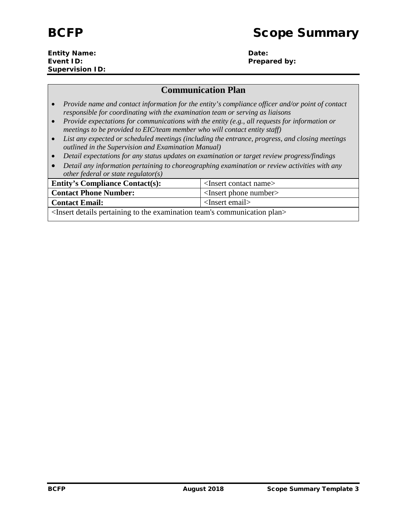#### **Entity Name: Date: Event ID: Prepared by: Prepared by: Supervision ID:**

### **Communication Plan**

- *Provide name and contact information for the entity's compliance officer and/or point of contact responsible for coordinating with the examination team or serving as liaisons*
- *Provide expectations for communications with the entity (e.g., all requests for information or meetings to be provided to EIC/team member who will contact entity staff)*
- *List any expected or scheduled meetings (including the entrance, progress, and closing meetings outlined in the Supervision and Examination Manual)*
- *Detail expectations for any status updates on examination or target review progress/findings*
- *Detail any information pertaining to choreographing examination or review activities with any other federal or state regulator(s)*

| <b>Entity's Compliance Contact(s):</b>                                                                    | $\leq$ Insert contact name $>$ |  |
|-----------------------------------------------------------------------------------------------------------|--------------------------------|--|
| <b>Contact Phone Number:</b>                                                                              | $\leq$ Insert phone number     |  |
| $\langle$ Insert email $\rangle$<br><b>Contact Email:</b>                                                 |                                |  |
| <insert communication="" details="" examination="" pertaining="" plan="" team's="" the="" to=""></insert> |                                |  |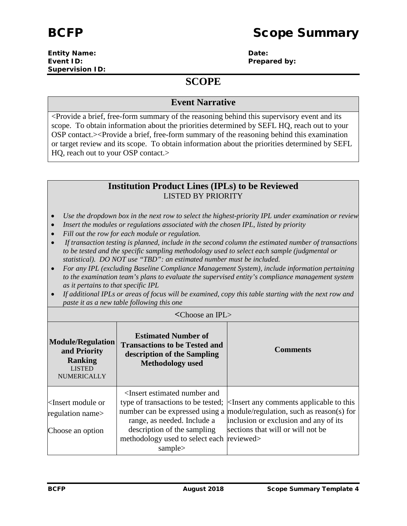#### **Entity Name: Date: Event ID: Prepared by: Prepared by: Supervision ID:**

## **SCOPE**

#### **Event Narrative**

<Provide a brief, free-form summary of the reasoning behind this supervisory event and its scope. To obtain information about the priorities determined by SEFL HQ, reach out to your OSP contact.><Provide a brief, free-form summary of the reasoning behind this examination or target review and its scope. To obtain information about the priorities determined by SEFL HQ, reach out to your OSP contact.>

#### **Institution Product Lines (IPLs) to be Reviewed** LISTED BY PRIORITY

- *Use the dropdown box in the next row to select the highest-priority IPL under examination or review*
- *Insert the modules or regulations associated with the chosen IPL, listed by priority*
- *Fill out the row for each module or regulation.*
- *If transaction testing is planned, include in the second column the estimated number of transactions to be tested and the specific sampling methodology used to select each sample (judgmental or statistical). DO NOT use "TBD": an estimated number must be included.*
- *For any IPL (excluding Baseline Compliance Management System), include information pertaining to the examination team's plans to evaluate the supervised entity's compliance management system as it pertains to that specific IPL*
- *If additional IPLs or areas of focus will be examined, copy this table starting with the next row and paste it as a new table following this one*

| $\langle$ Choose an IPL $>$                                                                       |                                                                                                                                                                               |                                                                                                                                                                                                                                               |  |
|---------------------------------------------------------------------------------------------------|-------------------------------------------------------------------------------------------------------------------------------------------------------------------------------|-----------------------------------------------------------------------------------------------------------------------------------------------------------------------------------------------------------------------------------------------|--|
| <b>Module/Regulation</b><br>and Priority<br><b>Ranking</b><br><b>LISTED</b><br><b>NUMERICALLY</b> | <b>Estimated Number of</b><br><b>Transactions to be Tested and</b><br>description of the Sampling<br><b>Methodology</b> used                                                  | <b>Comments</b>                                                                                                                                                                                                                               |  |
| $\leq$ Insert module or<br>regulation name><br>Choose an option                                   | <insert and<br="" estimated="" number="">range, as needed. Include a<br/>description of the sampling<br/>methodology used to select each reviewed&gt;<br/>sample&gt;</insert> | type of transactions to be tested; <a> </a> set any comments applicable to this<br>number can be expressed using a $ $ module/regulation, such as reason(s) for<br>inclusion or exclusion and any of its<br>sections that will or will not be |  |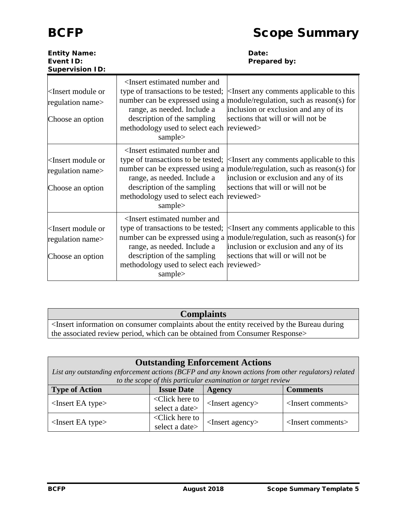| <b>Entity Name:</b><br>Event ID:<br><b>Supervision ID:</b>                   |                                                                                                                                                                                                                                                          | Date:<br>Prepared by:                                                                                                                                                                                   |
|------------------------------------------------------------------------------|----------------------------------------------------------------------------------------------------------------------------------------------------------------------------------------------------------------------------------------------------------|---------------------------------------------------------------------------------------------------------------------------------------------------------------------------------------------------------|
| <insert module="" or<br="">regulation name&gt;<br/>Choose an option</insert> | <insert and<br="" estimated="" number="">type of transactions to be tested;<br/>number can be expressed using a<br/>range, as needed. Include a<br/>description of the sampling<br/>methodology used to select each reviewed&gt;<br/>sample&gt;</insert> | $\leq$ Insert any comments applicable to this<br>module/regulation, such as reason(s) for<br>inclusion or exclusion and any of its<br>sections that will or will not be                                 |
| <insert module="" or<br="">regulation name&gt;<br/>Choose an option</insert> | <insert and<br="" estimated="" number="">type of transactions to be tested;<br/>range, as needed. Include a<br/>description of the sampling<br/>methodology used to select each reviewed&gt;<br/>sample&gt;</insert>                                     | $\leq$ Insert any comments applicable to this<br>number can be expressed using a module/regulation, such as reason(s) for<br>inclusion or exclusion and any of its<br>sections that will or will not be |
| <insert module="" or<br="">regulation name&gt;<br/>Choose an option</insert> | <insert and<br="" estimated="" number="">type of transactions to be tested;<br/>range, as needed. Include a<br/>description of the sampling<br/>methodology used to select each reviewed&gt;<br/>sample&gt;</insert>                                     | $\leq$ Insert any comments applicable to this<br>number can be expressed using a module/regulation, such as reason(s) for<br>inclusion or exclusion and any of its<br>sections that will or will not be |

## **Complaints**

<Insert information on consumer complaints about the entity received by the Bureau during the associated review period, which can be obtained from Consumer Response>

| <b>Outstanding Enforcement Actions</b>                                                              |                                                                                                                                                |                                                              |                               |  |
|-----------------------------------------------------------------------------------------------------|------------------------------------------------------------------------------------------------------------------------------------------------|--------------------------------------------------------------|-------------------------------|--|
| List any outstanding enforcement actions (BCFP and any known actions from other regulators) related |                                                                                                                                                |                                                              |                               |  |
|                                                                                                     |                                                                                                                                                | to the scope of this particular examination or target review |                               |  |
| <b>Type of Action</b>                                                                               | <b>Issue Date</b><br><b>Comments</b><br><b>Agency</b>                                                                                          |                                                              |                               |  |
| $<$ Insert EA type $>$                                                                              | <click here="" td="" to<=""><td><math>&lt;</math>Insert agency<math>&gt;</math></td><td rowspan="2"><insert comments=""></insert></td></click> | $<$ Insert agency $>$                                        | <insert comments=""></insert> |  |
|                                                                                                     | select a date>                                                                                                                                 |                                                              |                               |  |
| $<$ Insert EA type $>$                                                                              | $\triangle$ Click here to                                                                                                                      |                                                              | <insert comments=""></insert> |  |
|                                                                                                     | select a date>                                                                                                                                 | $<$ Insert agency $>$                                        |                               |  |